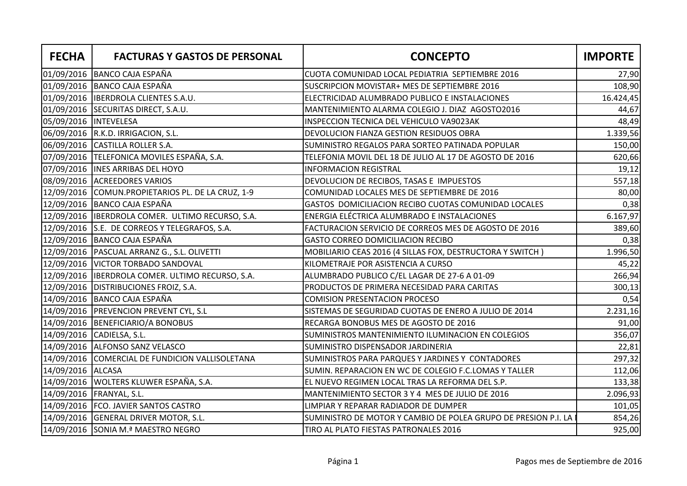| <b>FECHA</b>           | <b>FACTURAS Y GASTOS DE PERSONAL</b>               | <b>CONCEPTO</b>                                                | <b>IMPORTE</b> |
|------------------------|----------------------------------------------------|----------------------------------------------------------------|----------------|
|                        | 01/09/2016 BANCO CAJA ESPAÑA                       | CUOTA COMUNIDAD LOCAL PEDIATRIA SEPTIEMBRE 2016                | 27,90          |
|                        | 01/09/2016   BANCO CAJA ESPAÑA                     | SUSCRIPCION MOVISTAR+ MES DE SEPTIEMBRE 2016                   | 108,90         |
|                        | 01/09/2016  IBERDROLA CLIENTES S.A.U.              | ELECTRICIDAD ALUMBRADO PUBLICO E INSTALACIONES                 | 16.424,45      |
|                        | 01/09/2016 SECURITAS DIRECT, S.A.U.                | MANTENIMIENTO ALARMA COLEGIO J. DIAZ AGOSTO2016                | 44,67          |
| 05/09/2016  INTEVELESA |                                                    | INSPECCION TECNICA DEL VEHICULO VA9023AK                       | 48,49          |
|                        | 06/09/2016 R.K.D. IRRIGACION, S.L.                 | DEVOLUCION FIANZA GESTION RESIDUOS OBRA                        | 1.339,56       |
|                        | 06/09/2016 CASTILLA ROLLER S.A.                    | SUMINISTRO REGALOS PARA SORTEO PATINADA POPULAR                | 150,00         |
|                        | 07/09/2016   TELEFONICA MOVILES ESPAÑA, S.A.       | TELEFONIA MOVIL DEL 18 DE JULIO AL 17 DE AGOSTO DE 2016        | 620,66         |
|                        | 07/09/2016  INES ARRIBAS DEL HOYO                  | <b>INFORMACION REGISTRAL</b>                                   | 19,12          |
|                        | 08/09/2016 ACREEDORES VARIOS                       | DEVOLUCION DE RECIBOS, TASAS E IMPUESTOS                       | 557,18         |
|                        | 12/09/2016 COMUN.PROPIETARIOS PL. DE LA CRUZ, 1-9  | COMUNIDAD LOCALES MES DE SEPTIEMBRE DE 2016                    | 80,00          |
|                        | 12/09/2016 BANCO CAJA ESPAÑA                       | GASTOS DOMICILIACION RECIBO CUOTAS COMUNIDAD LOCALES           | 0,38           |
|                        | 12/09/2016   IBERDROLA COMER. ULTIMO RECURSO, S.A. | ENERGIA ELÉCTRICA ALUMBRADO E INSTALACIONES                    | 6.167,97       |
|                        | 12/09/2016 S.E. DE CORREOS Y TELEGRAFOS, S.A.      | FACTURACION SERVICIO DE CORREOS MES DE AGOSTO DE 2016          | 389,60         |
|                        | 12/09/2016 BANCO CAJA ESPAÑA                       | <b>GASTO CORREO DOMICILIACION RECIBO</b>                       | 0,38           |
|                        | 12/09/2016   PASCUAL ARRANZ G., S.L. OLIVETTI      | MOBILIARIO CEAS 2016 (4 SILLAS FOX, DESTRUCTORA Y SWITCH)      | 1.996,50       |
|                        | 12/09/2016   VICTOR TORBADO SANDOVAL               | KILOMETRAJE POR ASISTENCIA A CURSO                             | 45,22          |
|                        | 12/09/2016   IBERDROLA COMER. ULTIMO RECURSO, S.A. | ALUMBRADO PUBLICO C/EL LAGAR DE 27-6 A 01-09                   | 266,94         |
|                        | 12/09/2016   DISTRIBUCIONES FROIZ, S.A.            | PRODUCTOS DE PRIMERA NECESIDAD PARA CARITAS                    | 300,13         |
|                        | 14/09/2016 BANCO CAJA ESPAÑA                       | <b>COMISION PRESENTACION PROCESO</b>                           | 0,54           |
|                        | 14/09/2016   PREVENCION PREVENT CYL, S.L           | SISTEMAS DE SEGURIDAD CUOTAS DE ENERO A JULIO DE 2014          | 2.231,16       |
|                        | 14/09/2016   BENEFICIARIO/A BONOBUS                | RECARGA BONOBUS MES DE AGOSTO DE 2016                          | 91,00          |
|                        | 14/09/2016 CADIELSA, S.L.                          | SUMINISTROS MANTENIMIENTO ILUMINACION EN COLEGIOS              | 356,07         |
|                        | 14/09/2016 ALFONSO SANZ VELASCO                    | SUMINISTRO DISPENSADOR JARDINERIA                              | 22,81          |
|                        | 14/09/2016 COMERCIAL DE FUNDICION VALLISOLETANA    | SUMINISTROS PARA PARQUES Y JARDINES Y CONTADORES               | 297,32         |
| 14/09/2016 ALCASA      |                                                    | SUMIN. REPARACION EN WC DE COLEGIO F.C.LOMAS Y TALLER          | 112,06         |
|                        | 14/09/2016   WOLTERS KLUWER ESPAÑA, S.A.           | EL NUEVO REGIMEN LOCAL TRAS LA REFORMA DEL S.P.                | 133,38         |
|                        | 14/09/2016 FRANYAL, S.L.                           | MANTENIMIENTO SECTOR 3 Y 4 MES DE JULIO DE 2016                | 2.096,93       |
|                        | 14/09/2016   FCO. JAVIER SANTOS CASTRO             | LIMPIAR Y REPARAR RADIADOR DE DUMPER                           | 101,05         |
|                        | 14/09/2016 GENERAL DRIVER MOTOR, S.L.              | SUMINISTRO DE MOTOR Y CAMBIO DE POLEA GRUPO DE PRESION P.I. LA | 854,26         |
|                        | 14/09/2016 SONIA M.ª MAESTRO NEGRO                 | TIRO AL PLATO FIESTAS PATRONALES 2016                          | 925,00         |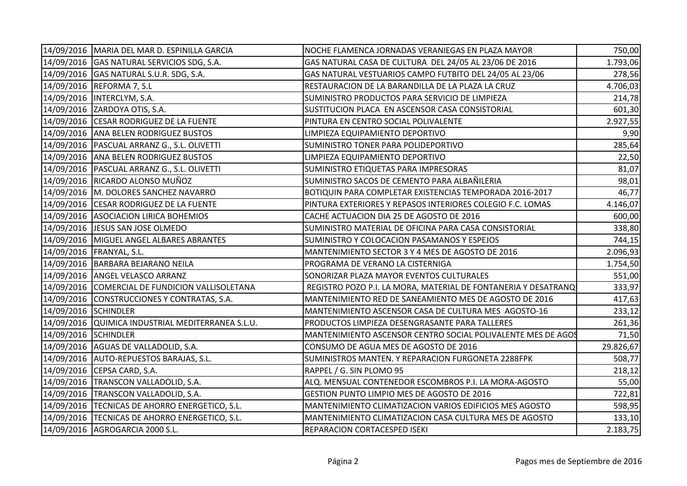|                      | 14/09/2016   MARIA DEL MAR D. ESPINILLA GARCIA    | NOCHE FLAMENCA JORNADAS VERANIEGAS EN PLAZA MAYOR              | 750,00    |
|----------------------|---------------------------------------------------|----------------------------------------------------------------|-----------|
|                      | 14/09/2016 GAS NATURAL SERVICIOS SDG, S.A.        | GAS NATURAL CASA DE CULTURA DEL 24/05 AL 23/06 DE 2016         | 1.793,06  |
|                      | 14/09/2016 GAS NATURAL S.U.R. SDG, S.A.           | GAS NATURAL VESTUARIOS CAMPO FUTBITO DEL 24/05 AL 23/06        | 278,56    |
|                      | 14/09/2016 REFORMA 7, S.L                         | RESTAURACION DE LA BARANDILLA DE LA PLAZA LA CRUZ              | 4.706,03  |
|                      | 14/09/2016   INTERCLYM, S.A.                      | SUMINISTRO PRODUCTOS PARA SERVICIO DE LIMPIEZA                 | 214,78    |
|                      | 14/09/2016 ZARDOYA OTIS, S.A.                     | SUSTITUCION PLACA EN ASCENSOR CASA CONSISTORIAL                | 601,30    |
|                      | 14/09/2016 CESAR RODRIGUEZ DE LA FUENTE           | PINTURA EN CENTRO SOCIAL POLIVALENTE                           | 2.927,55  |
|                      | 14/09/2016   ANA BELEN RODRIGUEZ BUSTOS           | LIMPIEZA EQUIPAMIENTO DEPORTIVO                                | 9,90      |
|                      | 14/09/2016   PASCUAL ARRANZ G., S.L. OLIVETTI     | SUMINISTRO TONER PARA POLIDEPORTIVO                            | 285,64    |
|                      | 14/09/2016   ANA BELEN RODRIGUEZ BUSTOS           | LIMPIEZA EQUIPAMIENTO DEPORTIVO                                | 22,50     |
|                      | 14/09/2016   PASCUAL ARRANZ G., S.L. OLIVETTI     | SUMINISTRO ETIQUETAS PARA IMPRESORAS                           | 81,07     |
|                      | 14/09/2016 RICARDO ALONSO MUÑOZ                   | SUMINISTRO SACOS DE CEMENTO PARA ALBAÑILERIA                   | 98,01     |
|                      | 14/09/2016 M. DOLORES SANCHEZ NAVARRO             | BOTIQUIN PARA COMPLETAR EXISTENCIAS TEMPORADA 2016-2017        | 46,77     |
|                      | 14/09/2016 CESAR RODRIGUEZ DE LA FUENTE           | PINTURA EXTERIORES Y REPASOS INTERIORES COLEGIO F.C. LOMAS     | 4.146,07  |
|                      | 14/09/2016 ASOCIACION LIRICA BOHEMIOS             | CACHE ACTUACION DIA 25 DE AGOSTO DE 2016                       | 600,00    |
|                      | 14/09/2016   JESUS SAN JOSE OLMEDO                | SUMINISTRO MATERIAL DE OFICINA PARA CASA CONSISTORIAL          | 338,80    |
|                      | 14/09/2016   MIGUEL ANGEL ALBARES ABRANTES        | SUMINISTRO Y COLOCACION PASAMANOS Y ESPEJOS                    | 744,15    |
|                      | 14/09/2016 FRANYAL, S.L.                          | MANTENIMIENTO SECTOR 3 Y 4 MES DE AGOSTO DE 2016               | 2.096,93  |
|                      | 14/09/2016   BARBARA BEJARANO NEILA               | PROGRAMA DE VERANO LA CISTERNIGA                               | 1.754,50  |
|                      | 14/09/2016   ANGEL VELASCO ARRANZ                 | SONORIZAR PLAZA MAYOR EVENTOS CULTURALES                       | 551,00    |
|                      | 14/09/2016 COMERCIAL DE FUNDICION VALLISOLETANA   | REGISTRO POZO P.I. LA MORA, MATERIAL DE FONTANERIA Y DESATRANQ | 333,97    |
|                      | 14/09/2016 CONSTRUCCIONES Y CONTRATAS, S.A.       | MANTENIMIENTO RED DE SANEAMIENTO MES DE AGOSTO DE 2016         | 417,63    |
| 14/09/2016 SCHINDLER |                                                   | MANTENIMIENTO ASCENSOR CASA DE CULTURA MES AGOSTO-16           | 233,12    |
|                      | 14/09/2016 QUIMICA INDUSTRIAL MEDITERRANEA S.L.U. | PRODUCTOS LIMPIEZA DESENGRASANTE PARA TALLERES                 | 261,36    |
| 14/09/2016 SCHINDLER |                                                   | MANTENIMIENTO ASCENSOR CENTRO SOCIAL POLIVALENTE MES DE AGOS   | 71,50     |
|                      | 14/09/2016   AGUAS DE VALLADOLID, S.A.            | CONSUMO DE AGUA MES DE AGOSTO DE 2016                          | 29.826,67 |
|                      | 14/09/2016   AUTO-REPUESTOS BARAJAS, S.L.         | SUMINISTROS MANTEN. Y REPARACION FURGONETA 2288FPK             | 508,77    |
|                      | 14/09/2016 CEPSA CARD, S.A.                       | RAPPEL / G. SIN PLOMO 95                                       | 218,12    |
|                      | 14/09/2016   TRANSCON VALLADOLID, S.A.            | ALQ. MENSUAL CONTENEDOR ESCOMBROS P.I. LA MORA-AGOSTO          | 55,00     |
|                      | 14/09/2016   TRANSCON VALLADOLID, S.A.            | GESTION PUNTO LIMPIO MES DE AGOSTO DE 2016                     | 722,81    |
|                      | 14/09/2016  TECNICAS DE AHORRO ENERGETICO, S.L.   | MANTENIMIENTO CLIMATIZACION VARIOS EDIFICIOS MES AGOSTO        | 598,95    |
|                      | 14/09/2016  TECNICAS DE AHORRO ENERGETICO, S.L.   | MANTENIMIENTO CLIMATIZACION CASA CULTURA MES DE AGOSTO         | 133,10    |
|                      | 14/09/2016   AGROGARCIA 2000 S.L.                 | REPARACION CORTACESPED ISEKI                                   | 2.183,75  |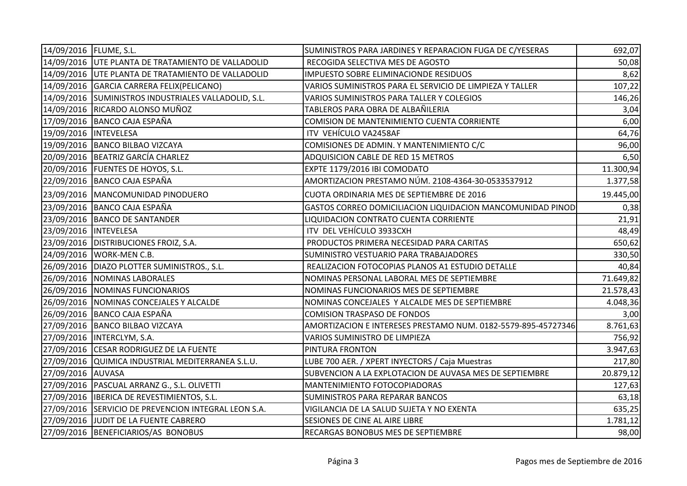| 14/09/2016   FLUME, S.L. |                                                      | SUMINISTROS PARA JARDINES Y REPARACION FUGA DE C/YESERAS      | 692,07    |
|--------------------------|------------------------------------------------------|---------------------------------------------------------------|-----------|
|                          | 14/09/2016 UTE PLANTA DE TRATAMIENTO DE VALLADOLID   | RECOGIDA SELECTIVA MES DE AGOSTO                              | 50,08     |
|                          | 14/09/2016 UTE PLANTA DE TRATAMIENTO DE VALLADOLID   | IMPUESTO SOBRE ELIMINACIONDE RESIDUOS                         | 8,62      |
|                          | 14/09/2016 GARCIA CARRERA FELIX(PELICANO)            | VARIOS SUMINISTROS PARA EL SERVICIO DE LIMPIEZA Y TALLER      | 107,22    |
|                          | 14/09/2016 SUMINISTROS INDUSTRIALES VALLADOLID, S.L. | VARIOS SUMINISTROS PARA TALLER Y COLEGIOS                     | 146,26    |
|                          | 14/09/2016 RICARDO ALONSO MUÑOZ                      | TABLEROS PARA OBRA DE ALBAÑILERIA                             | 3,04      |
|                          | 17/09/2016 BANCO CAJA ESPAÑA                         | COMISION DE MANTENIMIENTO CUENTA CORRIENTE                    | 6,00      |
| 19/09/2016  INTEVELESA   |                                                      | ITV VEHÍCULO VA2458AF                                         | 64,76     |
|                          | 19/09/2016 BANCO BILBAO VIZCAYA                      | COMISIONES DE ADMIN. Y MANTENIMIENTO C/C                      | 96,00     |
|                          | 20/09/2016   BEATRIZ GARCÍA CHARLEZ                  | ADQUISICION CABLE DE RED 15 METROS                            | 6,50      |
|                          | 20/09/2016   FUENTES DE HOYOS, S.L.                  | EXPTE 1179/2016 IBI COMODATO                                  | 11.300,94 |
|                          | 22/09/2016   BANCO CAJA ESPAÑA                       | AMORTIZACION PRESTAMO NÚM. 2108-4364-30-0533537912            | 1.377,58  |
|                          | 23/09/2016   MANCOMUNIDAD PINODUERO                  | CUOTA ORDINARIA MES DE SEPTIEMBRE DE 2016                     | 19.445,00 |
|                          | 23/09/2016 BANCO CAJA ESPAÑA                         | GASTOS CORREO DOMICILIACION LIQUIDACION MANCOMUNIDAD PINOD    | 0,38      |
|                          | 23/09/2016 BANCO DE SANTANDER                        | LIQUIDACION CONTRATO CUENTA CORRIENTE                         | 21,91     |
| 23/09/2016  INTEVELESA   |                                                      | ITV DEL VEHÍCULO 3933CXH                                      | 48,49     |
|                          | 23/09/2016   DISTRIBUCIONES FROIZ, S.A.              | PRODUCTOS PRIMERA NECESIDAD PARA CARITAS                      | 650,62    |
|                          | 24/09/2016   WORK-MEN C.B.                           | SUMINISTRO VESTUARIO PARA TRABAJADORES                        | 330,50    |
|                          | 26/09/2016   DIAZO PLOTTER SUMINISTROS., S.L.        | REALIZACION FOTOCOPIAS PLANOS A1 ESTUDIO DETALLE              | 40,84     |
|                          | 26/09/2016   NOMINAS LABORALES                       | NOMINAS PERSONAL LABORAL MES DE SEPTIEMBRE                    | 71.649,82 |
|                          | 26/09/2016 NOMINAS FUNCIONARIOS                      | NOMINAS FUNCIONARIOS MES DE SEPTIEMBRE                        | 21.578,43 |
|                          | 26/09/2016 NOMINAS CONCEJALES Y ALCALDE              | NOMINAS CONCEJALES Y ALCALDE MES DE SEPTIEMBRE                | 4.048,36  |
|                          | 26/09/2016   BANCO CAJA ESPAÑA                       | COMISION TRASPASO DE FONDOS                                   | 3,00      |
|                          | 27/09/2016 BANCO BILBAO VIZCAYA                      | AMORTIZACION E INTERESES PRESTAMO NUM. 0182-5579-895-45727346 | 8.761,63  |
|                          | 27/09/2016  INTERCLYM, S.A.                          | VARIOS SUMINISTRO DE LIMPIEZA                                 | 756,92    |
|                          | 27/09/2016 CESAR RODRIGUEZ DE LA FUENTE              | PINTURA FRONTON                                               | 3.947,63  |
|                          | 27/09/2016 QUIMICA INDUSTRIAL MEDITERRANEA S.L.U.    | LUBE 700 AER. / XPERT INYECTORS / Caja Muestras               | 217,80    |
| 27/09/2016 AUVASA        |                                                      | SUBVENCION A LA EXPLOTACION DE AUVASA MES DE SEPTIEMBRE       | 20.879,12 |
|                          | 27/09/2016   PASCUAL ARRANZ G., S.L. OLIVETTI        | MANTENIMIENTO FOTOCOPIADORAS                                  | 127,63    |
|                          | 27/09/2016  IBERICA DE REVESTIMIENTOS, S.L.          | SUMINISTROS PARA REPARAR BANCOS                               | 63,18     |
|                          | 27/09/2016 SERVICIO DE PREVENCION INTEGRAL LEON S.A. | VIGILANCIA DE LA SALUD SUJETA Y NO EXENTA                     | 635,25    |
|                          | 27/09/2016 JJUDIT DE LA FUENTE CABRERO               | SESIONES DE CINE AL AIRE LIBRE                                | 1.781,12  |
|                          | 27/09/2016 BENEFICIARIOS/AS BONOBUS                  | RECARGAS BONOBUS MES DE SEPTIEMBRE                            | 98,00     |